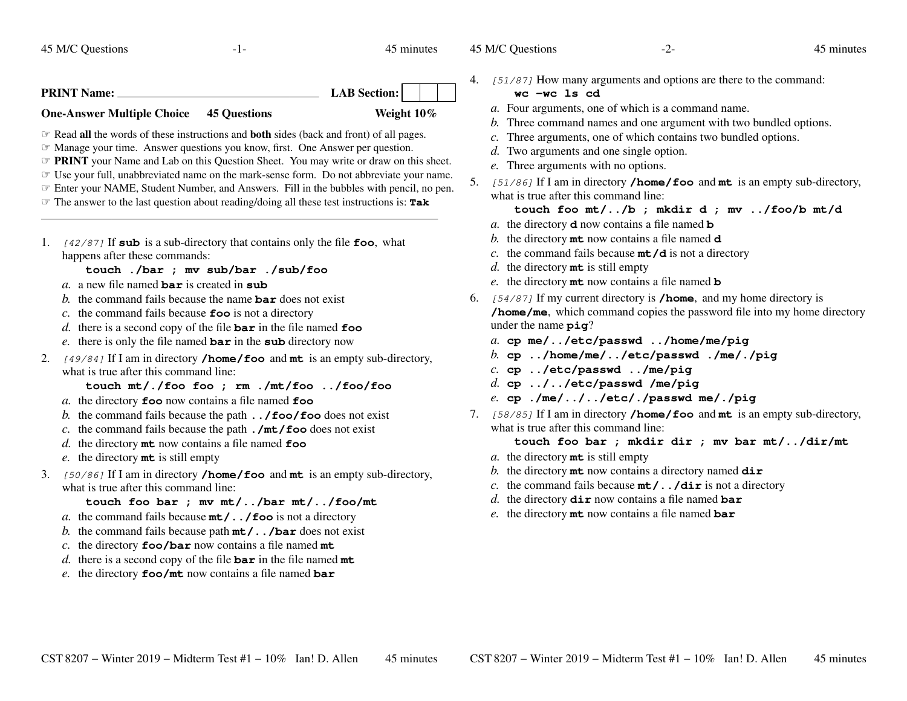45 M/C Questions

 $-1-$  45

45 minutes

**PRINT Name: LAB Section: One-Answer Multiple Choice 45 QuestionsWeight 10%**

☞ Read **all** the words of these instructions and **both** sides (back and front) of all pages.

☞ Manage your time. Answer questions you know, first. One Answer per question.

*The PRINT* your Name and Lab on this Question Sheet. You may write or draw on this sheet. The vour full unabhroused name on the mark sonse form. Do not abhrouse vour name

☞ Use your full, unabbreviated name on the mark-sense form. Do not abbreviate your name.

☞ Enter your NAME, Student Number, and Answers. Fill in the bubbles with pencil, no pen.

☞ The answer to the last question about reading/doing all these test instructions is: **Tak**

1. [42/87] If **sub** is a sub-directory that contains only the file **foo**, what happens after these commands:

**touch ./bar ; mv sub/bar ./sub/foo**

- *a.* <sup>a</sup> new file named **bar** is created in **sub**
- *b.* the command fails because the name **bar** does not exist
- *c.* the command fails because **foo** is not a directory
- *d.* there is a second copy of the file **bar** in the file named **foo**
- *e.* there is only the file named **bar** in the **sub** directory now
- 2. [49/84] If I am in directory **/home/foo** and **mt** is an empty sub-directory, what is true after this command line:

**touch mt/./foo foo ; rm ./mt/foo ../foo/foo**

- *a.* the directory **foo** now contains a file named **foo**
- *b.* the command fails because the path **../foo/foo** does not exist
- *c.* the command fails because the path **./mt/foo** does not exist
- *d.* the directory **mt** now contains a file named **foo**
- *e.* the directory **mt** is still empty
- 3. [50/86] If I am in directory **/home/foo** and **mt** is an empty sub-directory, what is true after this command line:

## **touch foo bar ; mv mt/../bar mt/../foo/mt**

- *a.* the command fails because **mt/../foo** is not a directory
- *b.* the command fails because path **mt/../bar** does not exist
- *c.* the directory **foo/bar** now contains a file named **mt**
- *d.* there is a second copy of the file **bar** in the file named **mt**
- *e.* the directory **foo/mt** now contains a file named **bar**

4. [51/87] How many arguments and options are there to the command:

## **wc -wc ls cd**

- *a.* Four arguments, one of which is a command name.
- *b.* Three command names and one argument with two bundled options.
- *c.* Three arguments, one of which contains two bundled options.
- *d*. Two arguments and one single option.
- *e.* Three arguments with no options.
- 5. [51/86] If I am in directory **/home/foo** and **mt** is an empty sub-directory, what is true after this command line:

**touch foo mt/../b ; mkdir d ; mv ../foo/b mt/d**

- *a.* the directory **<sup>d</sup>** now contains a file named **<sup>b</sup>**
- *b.* the directory **mt** now contains a file named **<sup>d</sup>**
- *c.* the command fails because **mt/d** is not a directory
- *d.* the directory **mt** is still empty
- *e.* the directory **mt** now contains a file named **<sup>b</sup>**
- 6. [54/87] If my current directory is **/home**, and my home directory is **/home/me**, which command copies the password file into my home directoryunder the name **<sup>p</sup>ig**?
	- *a.* **cp me/../etc/passwd ../home/me/pig**
	- *b.* **cp ../home/me/../etc/passwd ./me/./pig**
	- *c.* **cp ../etc/passwd ../me/pig**
	- *d.* **cp ../../etc/passwd /me/pig**
	- *e.* **cp ./me/../../etc/./passwd me/./pig**
- 7. [58/85] If I am in directory **/home/foo** and **mt** is an empty sub-directory, what is true after this command line:

**touch foo bar ; mkdir dir ; mv bar mt/../dir/mt**

- *a.* the directory **mt** is still empty
- *b.* the directory **mt** now contains a directory named **dir**
- *c.* the command fails because **mt/../dir** is not a directory
- *d.* the directory **dir** now contains a file named **bar**
- *e.* the directory **mt** now contains a file named **bar**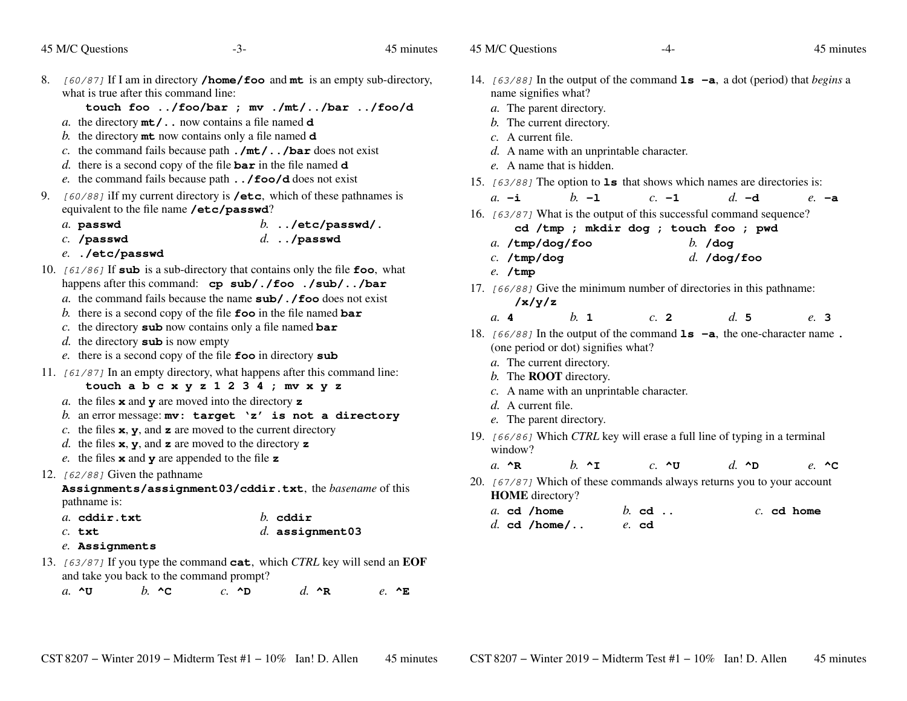45 M/C Questions

45 minutes

8. [60/87] If I am in directory **/home/foo** and **mt** is an empty sub-directory, what is true after this command line:

## **touch foo ../foo/bar ; mv ./mt/../bar ../foo/d**

*d.* **../passwd**

- *a.* the directory **mt/..** now contains a file named **<sup>d</sup>**
- *b.* the directory **mt** now contains only a file named **<sup>d</sup>**
- *c.* the command fails because path **./mt/../bar** does not exist
- *d.* there is a second copy of the file **bar** in the file named **<sup>d</sup>**
- *e.* the command fails because path **../foo/d** does not exist
- 9. [60/88] iIf my current directory is **/etc**, which of these pathnames is equivalent to the file name **/etc/passwd**?
	- *a.* **passwd***b.* **../etc/passwd/.**
	- *c.* **/passwd**
	- *e.* **./etc/passwd**
- 10. [61/86] If **sub** is a sub-directory that contains only the file **foo**, what happens after this command: **cp sub/./foo ./sub/../bar**
	- *a.* the command fails because the name **sub/./foo** does not exist
	- *b.* there is a second copy of the file **foo** in the file named **bar**
	- *c.* the directory **sub** now contains only a file named **bar**
	- *d.* the directory **sub** is now empty
	- *e.* there is a second copy of the file **foo** in directory **sub**
- 11. [61/87] In an empty directory, what happens after this command line:
	- **touch a b c x y z 1 2 3 4 ; mv x y z**
	- *a.* the files **<sup>x</sup>** and **<sup>y</sup>** are moved into the directory **<sup>z</sup>**
	- *b.* an error message: **mv: target 'z' is not a directory**
	- *c.* the files  $x$ ,  $y$ , and  $z$  are moved to the current directory
	- *d.* the files **<sup>x</sup>**, **<sup>y</sup>**, and **<sup>z</sup>** are moved to the directory **<sup>z</sup>**
	- *e.* the files **<sup>x</sup>** and **<sup>y</sup>** are appended to the file **<sup>z</sup>**

# 12.  $[62/88]$  Given the pathname

**Assignments/assignment03/cddir.txt**, the *basename* of this pathname is:

| a. cddir.txt | $h$ cddir |
|--------------|-----------|
|              |           |

- *c.* **txt***d.* **assignment03**
- *e.* **Assignments**
- 13. [63/87] If you type the command **cat**, which *CTRL* key will send an **EOF**and take you back to the command prompt?

*a.* **^U***b.* **^C** *c.* **^D** *d.* **^R** *e.* **^E**

- 14. [63/88] In the output of the command **ls -a**, <sup>a</sup> dot (period) that *begins* <sup>a</sup> name signifies what?
	- *a.* The parent directory.
	- *b.* The current directory.
	- *c.* A current file.
	- *d.* A name with an unprintable character.
	- *e.* A name that is hidden.
- 15. [63/88] The option to **ls** that shows which names are directories is:
	- *a.* **-i***b.* **-l** *c.* **-1** *d.* **-d** *e.* **-a**
- 16. [63/87] What is the output of this successful command sequence?
	- **cd /tmp ; mkdir dog ; touch foo ; pwd**
	- *a.* **/tmp/dog/foo***b.* **/dog**
	- *c.* **/tmp/dog***d.* **/dog/foo**
	- *e.* **/tmp**
- 17. [66/88] Give the minimum number of directories in this pathname: **/x/y/z**
	- *a.* **<sup>4</sup>***b.* **<sup>1</sup>** *c.* **<sup>2</sup>** *d.* **<sup>5</sup>** *e.* **<sup>3</sup>**
- 18. [66/88] In the output of the command **ls -a**, the one-character name **.**(one period or dot) signifies what?
	- *a.* The current directory.
	- *b.* The **ROOT** directory.
	- *c.* A name with an unprintable character.
	- *d.* A current file.
	- *e.* The parent directory.
- 19. [66/86] Which *CTRL* key will erase a full line of typing in a terminal window?

*a.* **^R***b.* **^I** *c.* **^U** *d.* **^D** *e.* **^C**

20.  $[67/87]$  Which of these commands always returns you to your account **HOME** directory?

|  | a. cd /home    | $b.$ cd |  | $c.$ cd home |
|--|----------------|---------|--|--------------|
|  | $d.$ cd /home/ | $e$ cd  |  |              |